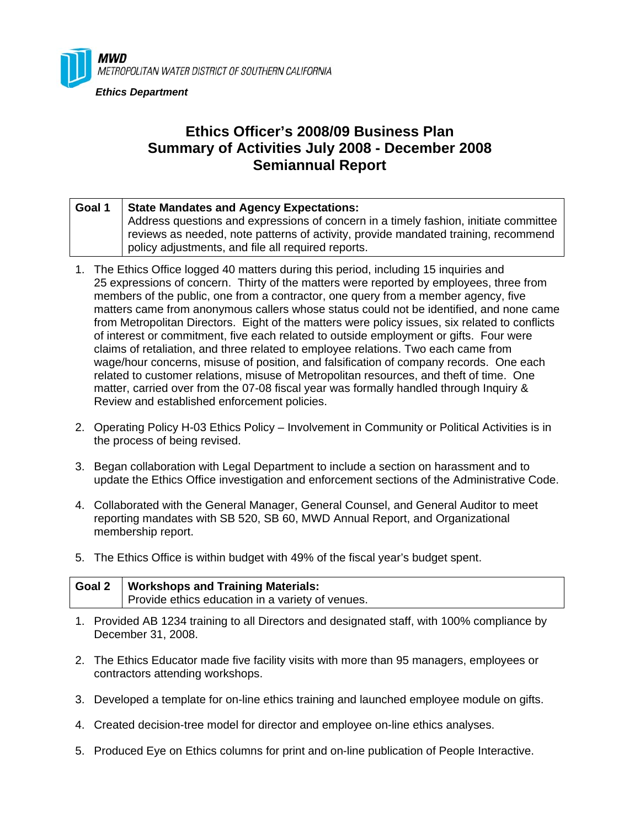

## **Ethics Officer's 2008/09 Business Plan Summary of Activities July 2008 - December 2008 Semiannual Report**

| Goal 1 | <b>State Mandates and Agency Expectations:</b>                                       |
|--------|--------------------------------------------------------------------------------------|
|        | Address questions and expressions of concern in a timely fashion, initiate committee |
|        | reviews as needed, note patterns of activity, provide mandated training, recommend   |
|        | policy adjustments, and file all required reports.                                   |

- 1. The Ethics Office logged 40 matters during this period, including 15 inquiries and 25 expressions of concern. Thirty of the matters were reported by employees, three from members of the public, one from a contractor, one query from a member agency, five matters came from anonymous callers whose status could not be identified, and none came from Metropolitan Directors. Eight of the matters were policy issues, six related to conflicts of interest or commitment, five each related to outside employment or gifts. Four were claims of retaliation, and three related to employee relations. Two each came from wage/hour concerns, misuse of position, and falsification of company records. One each related to customer relations, misuse of Metropolitan resources, and theft of time. One matter, carried over from the 07-08 fiscal year was formally handled through Inquiry & Review and established enforcement policies.
- 2. Operating Policy H-03 Ethics Policy Involvement in Community or Political Activities is in the process of being revised.
- 3. Began collaboration with Legal Department to include a section on harassment and to update the Ethics Office investigation and enforcement sections of the Administrative Code.
- 4. Collaborated with the General Manager, General Counsel, and General Auditor to meet reporting mandates with SB 520, SB 60, MWD Annual Report, and Organizational membership report.
- 5. The Ethics Office is within budget with 49% of the fiscal year's budget spent.

| Goal 2   Workshops and Training Materials:       |
|--------------------------------------------------|
| Provide ethics education in a variety of venues. |

- 1. Provided AB 1234 training to all Directors and designated staff, with 100% compliance by December 31, 2008.
- 2. The Ethics Educator made five facility visits with more than 95 managers, employees or contractors attending workshops.
- 3. Developed a template for on-line ethics training and launched employee module on gifts.
- 4. Created decision-tree model for director and employee on-line ethics analyses.
- 5. Produced Eye on Ethics columns for print and on-line publication of People Interactive.